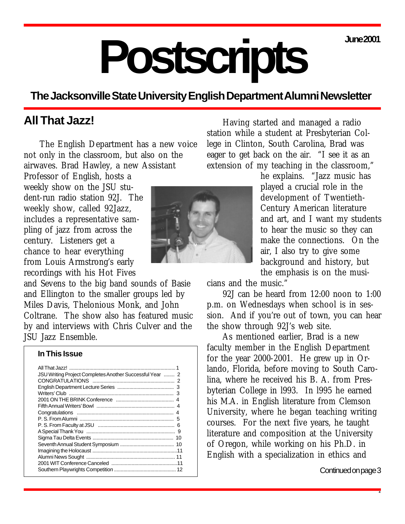**June 2001**

# **Postscripts**

# **The Jacksonville State University English Department Alumni Newsletter**

# **All That Jazz!**

The English Department has a new voice not only in the classroom, but also on the airwaves. Brad Hawley, a new Assistant

Professor of English, hosts a weekly show on the JSU student-run radio station 92J. The weekly show, called 92Jazz, includes a representative sampling of jazz from across the century. Listeners get a chance to hear everything from Louis Armstrong's early recordings with his Hot Fives

and Sevens to the big band sounds of Basie and Ellington to the smaller groups led by Miles Davis, Thelonious Monk, and John Coltrane. The show also has featured music by and interviews with Chris Culver and the JSU Jazz Ensemble.

#### **In This Issue**

Having started and managed a radio station while a student at Presbyterian College in Clinton, South Carolina, Brad was eager to get back on the air. "I see it as an extension of my teaching in the classroom,"

> he explains. "Jazz music has played a crucial role in the development of Twentieth-Century American literature and art, and I want my students to hear the music so they can make the connections. On the air, I also try to give some background and history, but the emphasis is on the musi-

cians and the music."

92J can be heard from 12:00 noon to 1:00 p.m. on Wednesdays when school is in session. And if you're out of town, you can hear the show through 92J's web site.

As mentioned earlier, Brad is a new faculty member in the English Department for the year 2000-2001. He grew up in Orlando, Florida, before moving to South Carolina, where he received his B. A. from Presbyterian College in l993. In l995 he earned his M.A. in English literature from Clemson University, where he began teaching writing courses. For the next five years, he taught literature and composition at the University of Oregon, while working on his Ph.D. in English with a specialization in ethics and

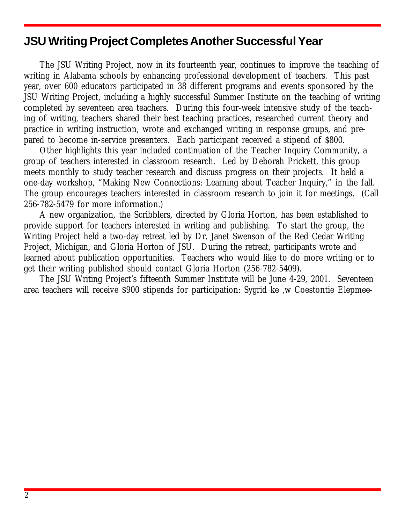# <span id="page-1-0"></span>**JSU Writing Project CompletesAnother SuccessfulYear**

The JSU Writing Project, now in its fourteenth year, continues to improve the teaching of writing in Alabama schools by enhancing professional development of teachers. This past year, over 600 educators participated in 38 different programs and events sponsored by the JSU Writing Project, including a highly successful Summer Institute on the teaching of writing completed by seventeen area teachers. During this four-week intensive study of the teaching of writing, teachers shared their best teaching practices, researched current theory and practice in writing instruction, wrote and exchanged writing in response groups, and prepared to become in-service presenters. Each participant received a stipend of \$800.

Other highlights this year included continuation of the Teacher Inquiry Community, a group of teachers interested in classroom research. Led by Deborah Prickett, this group meets monthly to study teacher research and discuss progress on their projects. It held a one-day workshop, "Making New Connections: Learning about Teacher Inquiry," in the fall. The group encourages teachers interested in classroom research to join it for meetings. (Call 256-782-5479 for more information.)

A new organization, the Scribblers, directed by Gloria Horton, has been established to provide support for teachers interested in writing and publishing. To start the group, the Writing Project held a two-day retreat led by Dr. Janet Swenson of the Red Cedar Writing Project, Michigan, and Gloria Horton of JSU. During the retreat, participants wrote and learned about publication opportunities. Teachers who would like to do more writing or to get their writing published should contact Gloria Horton (256-782-5409).

The JSU Writing Project's fifteenth Summer Institute will be June 4-29, 2001. Seventeen area teachers will receive \$900 stipends for participation: Sygrid ke ,w Coestontie Elepmee-

The JSU Writing Projecs, directed byLiea Wwilirams andcwo-directed by Grrria Horton o.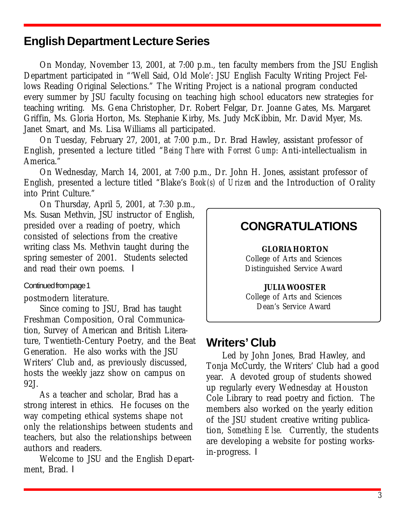# <span id="page-2-0"></span>**English Department Lecture Series**

On Monday, November 13, 2001, at 7:00 p.m., ten faculty members from the JSU English Department participated in "'Well Said, Old Mole': JSU English Faculty Writing Project Fellows Reading Original Selections." The Writing Project is a national program conducted every summer by JSU faculty focusing on teaching high school educators new strategies for teaching writing. Ms. Gena Christopher, Dr. Robert Felgar, Dr. Joanne Gates, Ms. Margaret Griffin, Ms. Gloria Horton, Ms. Stephanie Kirby, Ms. Judy McKibbin, Mr. David Myer, Ms. Janet Smart, and Ms. Lisa Williams all participated.

On Tuesday, February 27, 2001, at 7:00 p.m., Dr. Brad Hawley, assistant professor of English, presented a lecture titled "*Being There* with *Forrest Gump*: Anti-intellectualism in America."

On Wednesday, March 14, 2001, at 7:00 p.m., Dr. John H. Jones, assistant professor of English, presented a lecture titled "Blake's *Book(s) of Urizen* and the Introduction of Orality into Print Culture."

On Thursday, April 5, 2001, at 7:30 p.m., Ms. Susan Methvin, JSU instructor of English, presided over a reading of poetry, which consisted of selections from the creative writing class Ms. Methvin taught during the spring semester of 2001. Students selected and read their own poems.  $\blacksquare$ 

#### Continued from page 1

#### postmodern literature.

Since coming to JSU, Brad has taught Freshman Composition, Oral Communication, Survey of American and British Literature, Twentieth-Century Poetry, and the Beat Generation. He also works with the JSU Writers' Club and, as previously discussed, hosts the weekly jazz show on campus on 92J.

As a teacher and scholar, Brad has a strong interest in ethics. He focuses on the way competing ethical systems shape not only the relationships between students and teachers, but also the relationships between authors and readers.

Welcome to JSU and the English Department. Brad.  $\blacksquare$ 

# **CONGRATULATIONS**

**GLORIA HORTON** College of Arts and Sciences Distinguished Service Award

**JULIA WOOSTER** College of Arts and Sciences Dean's Service Award

# **Writers' Club**

Led by John Jones, Brad Hawley, and Tonja McCurdy, the Writers' Club had a good year. A devoted group of students showed up regularly every Wednesday at Houston Cole Library to read poetry and fiction. The members also worked on the yearly edition of the JSU student creative writing publication, *Something Else*. Currently, the students are developing a website for posting worksin-progress. l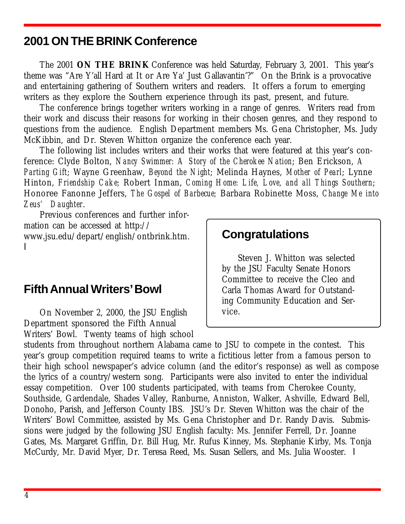# <span id="page-3-0"></span>**2001 ON THE BRINK Conference**

The 2001 **ON THE BRINK** Conference was held Saturday, February 3, 2001. This year's theme was "Are Y'all Hard at It or Are Ya' Just Gallavantin'?" On the Brink is a provocative and entertaining gathering of Southern writers and readers. It offers a forum to emerging writers as they explore the Southern experience through its past, present, and future.

The conference brings together writers working in a range of genres. Writers read from their work and discuss their reasons for working in their chosen genres, and they respond to questions from the audience. English Department members Ms. Gena Christopher, Ms. Judy McKibbin, and Dr. Steven Whitton organize the conference each year.

The following list includes writers and their works that were featured at this year's conference: Clyde Bolton, *Nancy Swimmer: A Story of the Cherokee Nation*; Ben Erickson, *A Parting Gift*; Wayne Greenhaw, *Beyond the Night*; Melinda Haynes, *Mother of Pearl*; Lynne Hinton, *Friendship Cake;* Robert Inman, *Coming Home: Life, Love, and all Things Southern*; Honoree Fanonne Jeffers, *The Gospel of Barbecue;* Barbara Robinette Moss, *Change Me into Zeus' Daughter*.

Previous conferences and further information can be accessed at http:// www.jsu.edu/depart/english/ontbrink.htm. l

# **Fifth Annual Writers'Bowl**

On November 2, 2000, the JSU English Department sponsored the Fifth Annual Writers' Bowl. Twenty teams of high school

# **Congratulations**

Steven J. Whitton was selected by the JSU Faculty Senate Honors Committee to receive the Cleo and Carla Thomas Award for Outstanding Community Education and Service.

students from throughout northern Alabama came to JSU to compete in the contest. This year's group competition required teams to write a fictitious letter from a famous person to their high school newspaper's advice column (and the editor's response) as well as compose the lyrics of a country/western song. Participants were also invited to enter the individual essay competition. Over 100 students participated, with teams from Cherokee County, Southside, Gardendale, Shades Valley, Ranburne, Anniston, Walker, Ashville, Edward Bell, Donoho, Parish, and Jefferson County IBS. JSU's Dr. Steven Whitton was the chair of the Writers' Bowl Committee, assisted by Ms. Gena Christopher and Dr. Randy Davis. Submissions were judged by the following JSU English faculty: Ms. Jennifer Ferrell, Dr. Joanne Gates, Ms. Margaret Griffin, Dr. Bill Hug, Mr. Rufus Kinney, Ms. Stephanie Kirby, Ms. Tonja McCurdy, Mr. David Myer, Dr. Teresa Reed, Ms. Susan Sellers, and Ms. Julia Wooster. I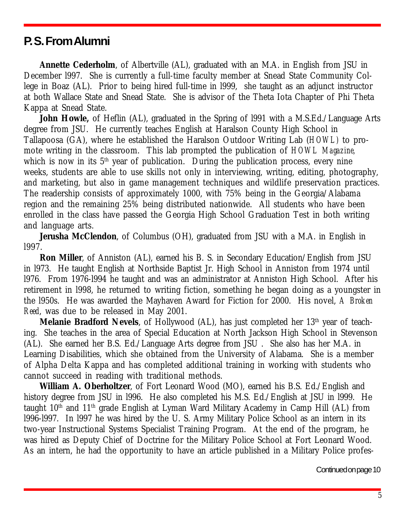# <span id="page-4-0"></span>**P. S. From Alumni**

**Annette Cederholm**, of Albertville (AL), graduated with an M.A. in English from JSU in December l997. She is currently a full-time faculty member at Snead State Community College in Boaz (AL). Prior to being hired full-time in l999, she taught as an adjunct instructor at both Wallace State and Snead State. She is advisor of the Theta Iota Chapter of Phi Theta Kappa at Snead State.

John Howle, of Heflin (AL), graduated in the Spring of 1991 with a M.S.Ed./Language Arts degree from JSU. He currently teaches English at Haralson County High School in Tallapoosa (GA), where he established the Haralson Outdoor Writing Lab (*HOWL)* to promote writing in the classroom. This lab prompted the publication of *HOWL Magazine,* which is now in its  $5<sup>th</sup>$  year of publication. During the publication process, every nine weeks, students are able to use skills not only in interviewing, writing, editing, photography, and marketing, but also in game management techniques and wildlife preservation practices. The readership consists of approximately 1000, with 75% being in the Georgia/Alabama region and the remaining 25% being distributed nationwide. All students who have been enrolled in the class have passed the Georgia High School Graduation Test in both writing and language arts.

**Jerusha McClendon**, of Columbus (OH), graduated from JSU with a M.A. in English in l997.

**Ron Miller**, of Anniston (AL), earned his B. S. in Secondary Education/English from JSU in l973. He taught English at Northside Baptist Jr. High School in Anniston from 1974 until l976. From 1976-l994 he taught and was an administrator at Anniston High School. After his retirement in l998, he returned to writing fiction, something he began doing as a youngster in the l950s. He was awarded the Mayhaven Award for Fiction for 2000. His novel, *A Broken Reed*, was due to be released in May 2001.

**Melanie Bradford Nevels**, of Hollywood (AL), has just completed her 13<sup>th</sup> year of teaching. She teaches in the area of Special Education at North Jackson High School in Stevenson (AL). She earned her B.S. Ed./Language Arts degree from JSU . She also has her M.A. in Learning Disabilities, which she obtained from the University of Alabama. She is a member of Alpha Delta Kappa and has completed additional training in working with students who cannot succeed in reading with traditional methods.

**William A. Oberholtzer**, of Fort Leonard Wood (MO), earned his B.S. Ed./English and history degree from JSU in l996. He also completed his M.S. Ed./English at JSU in l999. He taught  $10<sup>th</sup>$  and  $11<sup>th</sup>$  grade English at Lyman Ward Military Academy in Camp Hill (AL) from l996-l997. In l997 he was hired by the U. S. Army Military Police School as an intern in its two-year Instructional Systems Specialist Training Program. At the end of the program, he was hired as Deputy Chief of Doctrine for the Military Police School at Fort Leonard Wood. As an intern, he had the opportunity to have an article published in a Military Police profes-

Continued on page 10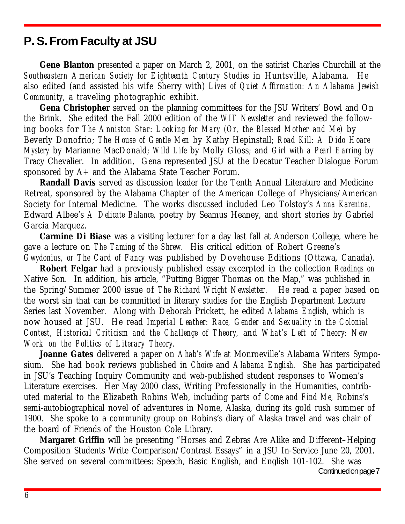# <span id="page-5-0"></span>**P. S. From Faculty at JSU**

**Gene Blanton** presented a paper on March 2, 2001, on the satirist Charles Churchill at the *Southeastern American Society for Eighteenth Century Studies* in Huntsville, Alabama. He also edited (and assisted his wife Sherry with) *Lives of Quiet Affirmation: An Alabama Jewish Community*, a traveling photographic exhibit.

**Gena Christopher** served on the planning committees for the JSU Writers' Bowl and On the Brink. She edited the Fall 2000 edition of the *WIT Newsletter* and reviewed the following books for *The Anniston Star*: *Looking for Mary (Or, the Blessed Mother and Me)* by Beverly Donofrio; *The House of Gentle Men* by Kathy Hepinstall; *Road Kill: A Dido Hoare Mystery* by Marianne MacDonald; *Wild Life* by Molly Gloss; and *Girl with a Pearl Earring* by Tracy Chevalier. In addition, Gena represented JSU at the Decatur Teacher Dialogue Forum sponsored by A+ and the Alabama State Teacher Forum.

**Randall Davis** served as discussion leader for the Tenth Annual Literature and Medicine Retreat, sponsored by the Alabama Chapter of the American College of Physicians/American Society for Internal Medicine. The works discussed included Leo Tolstoy's *Anna Karenina,* Edward Albee's *A Delicate Balance*, poetry by Seamus Heaney, and short stories by Gabriel Garcia Marquez.

**Carmine Di Biase** was a visiting lecturer for a day last fall at Anderson College, where he gave a lecture on *The Taming of the Shrew*. His critical edition of Robert Greene's *Gwydonius, or The Card of Fancy* was published by Dovehouse Editions (Ottawa, Canada).

**Robert Felgar** had a previously published essay excerpted in the collection *Readings on* Native Son*.* In addition, his article, "Putting Bigger Thomas on the Map," was published in the Spring/Summer 2000 issue of *The Richard Wright Newsletter*. He read a paper based on the worst sin that can be committed in literary studies for the English Department Lecture Series last November. Along with Deborah Prickett, he edited *Alabama English,* which is now housed at JSU. He read *Imperial Leather: Race, Gender and Sexuality in the Colonial Contest, Historical Criticism and the Challenge of Theory,* and *What's Left of Theory: New Work on the Politics of Literary Theory.*

**Joanne Gates** delivered a paper on *Ahab's Wife* at Monroeville's Alabama Writers Symposium. She had book reviews published in *Choice* and *Alabama English.* She has participated in JSU's Teaching Inquiry Community and web-published student responses to Women's Literature exercises. Her May 2000 class, Writing Professionally in the Humanities, contributed material to the Elizabeth Robins Web, including parts of *Come and Find Me*, Robins's semi-autobiographical novel of adventures in Nome, Alaska, during its gold rush summer of 1900. She spoke to a community group on Robins's diary of Alaska travel and was chair of the board of Friends of the Houston Cole Library.

**Margaret Griffin** will be presenting "Horses and Zebras Are Alike and Different–Helping Composition Students Write Comparison/Contrast Essays" in a JSU In-Service June 20, 2001. She served on several committees: Speech, Basic English, and English 101-102. She was Continued on page 7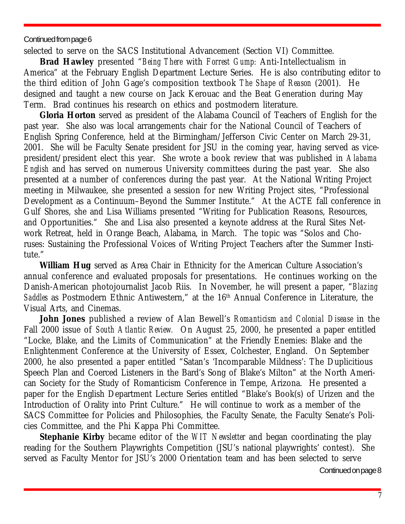#### Continued from page 6

selected to serve on the SACS Institutional Advancement (Section VI) Committee.

**Brad Hawley** presented "*Being There* with *Forrest Gump:* Anti-Intellectualism in America" at the February English Department Lecture Series. He is also contributing editor to the third edition of John Gage's composition textbook *The Shape of Reason* (2001). He designed and taught a new course on Jack Kerouac and the Beat Generation during May Term. Brad continues his research on ethics and postmodern literature.

**Gloria Horton** served as president of the Alabama Council of Teachers of English for the past year. She also was local arrangement*s* chair for the National Council of Teachers of English Spring Conference, held at the Birmingham/Jefferson Civic Center on March 29-31, 2001. She will be Faculty Senate president for JSU in the coming year, having served as vicepresident/president elect this year. She wrote a book review that was published in *Alabama English* and has served on numerous University committees during the past year. She also presented at a number of conferences during the past year. At the National Writing Project meeting in Milwaukee, she presented a session for new Writing Project sites, "Professional Development as a Continuum–Beyond the Summer Institute." At the ACTE fall conference in Gulf Shores, she and Lisa Williams presented "Writing for Publication Reasons, Resources, and Opportunities." She and Lisa also presented a keynote address at the Rural Sites Network Retreat, held in Orange Beach, Alabama, in March. The topic was "Solos and Choruses: Sustaining the Professional Voices of Writing Project Teachers after the Summer Institute."

**William Hug** served as Area Chair in Ethnicity for the American Culture Association's annual conference and evaluated proposals for presentations. He continues working on the Danish-American photojournalist Jacob Riis. In November, he will present a paper, "*Blazing Saddles* as Postmodern Ethnic Antiwestern," at the 16th Annual Conference in Literature, the Visual Arts, and Cinemas.

**John Jones** published a review of Alan Bewell's *Romanticism and Colonial Disease* in the Fall 2000 issue of *South Atlantic Review.* On August 25, 2000, he presented a paper entitled "Locke, Blake, and the Limits of Communication" at the Friendly Enemies: Blake and the Enlightenment Conference at the University of Essex, Colchester, England. On September 2000, he also presented a paper entitled "Satan's 'Incomparable Mildness': The Duplicitious Speech Plan and Coerced Listeners in the Bard's Song of Blake's Milton" at the North American Society for the Study of Romanticism Conference in Tempe, Arizona. He presented a paper for the English Department Lecture Series entitled "Blake's Book(s) of Urizen and the Introduction of Orality into Print Culture." He will continue to work as a member of the SACS Committee for Policies and Philosophies, the Faculty Senate, the Faculty Senate's Policies Committee, and the Phi Kappa Phi Committee.

**Stephanie Kirby** became editor of the *WIT Newsletter* and began coordinating the play reading for the Southern Playwrights Competition (JSU's national playwrights' contest). She served as Faculty Mentor for JSU's 2000 Orientation team and has been selected to serve

Continued on page 8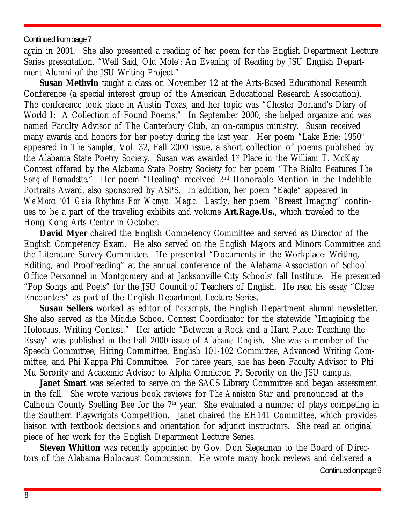#### Continued from page 7

again in 2001. She also presented a reading of her poem for the English Department Lecture Series presentation, "Well Said, Old Mole': An Evening of Reading by JSU English Department Alumni of the JSU Writing Project."

**Susan Methvin** taught a class on November 12 at the Arts-Based Educational Research Conference (a special interest group of the American Educational Research Association). The conference took place in Austin Texas, and her topic was "Chester Borland's Diary of World I: A Collection of Found Poems." In September 2000, she helped organize and was named Faculty Advisor of The Canterbury Club, an on-campus ministry. Susan received many awards and honors for her poetry during the last year. Her poem "Lake Erie: 1950" appeared in *The Sampler*, Vol. 32, Fall 2000 issue, a short collection of poems published by the Alabama State Poetry Society. Susan was awarded 1st Place in the William T. McKay Contest offered by the Alabama State Poetry Society for her poem "The Rialto Features *The Song of Bernadette.*" Her poem "Healing" received 2nd Honorable Mention in the Indelible Portraits Award, also sponsored by ASPS. In addition, her poem "Eagle" appeared in *We'Moon '01 Gaia Rhythms For Womyn: Magic.* Lastly, her poem "Breast Imaging" continues to be a part of the traveling exhibits and volume **Art.Rage.Us.**, which traveled to the Hong Kong Arts Center in October.

**David Myer** chaired the English Competency Committee and served as Director of the English Competency Exam. He also served on the English Majors and Minors Committee and the Literature Survey Committee. He presented "Documents in the Workplace: Writing, Editing, and Proofreading" at the annual conference of the Alabama Association of School Office Personnel in Montgomery and at Jacksonville City Schools' fall Institute. He presented "Pop Songs and Poets" for the JSU Council of Teachers of English. He read his essay "Close Encounters" as part of the English Department Lecture Series.

**Susan Sellers** worked as editor of *Postscripts*, the English Department alumni newsletter. She also served as the Middle School Contest Coordinator for the statewide "Imagining the Holocaust Writing Contest." Her article "Between a Rock and a Hard Place: Teaching the Essay" was published in the Fall 2000 issue of *Alabama English*. She was a member of the Speech Committee, Hiring Committee, English 101-102 Committee, Advanced Writing Committee, and Phi Kappa Phi Committee. For three years, she has been Faculty Advisor to Phi Mu Sorority and Academic Advisor to Alpha Omnicron Pi Sorority on the JSU campus.

**Janet Smart** was selected to serve on the SACS Library Committee and began assessment in the fall. She wrote various book reviews for *The Anniston Star* and pronounced at the Calhoun County Spelling Bee for the  $7<sup>th</sup>$  year. She evaluated a number of plays competing in the Southern Playwrights Competition. Janet chaired the EH141 Committee, which provides liaison with textbook decisions and orientation for adjunct instructors. She read an original piece of her work for the English Department Lecture Series.

**Steven Whitton** was recently appointed by Gov. Don Siegelman to the Board of Directors of the Alabama Holocaust Commission. He wrote many book reviews and delivered a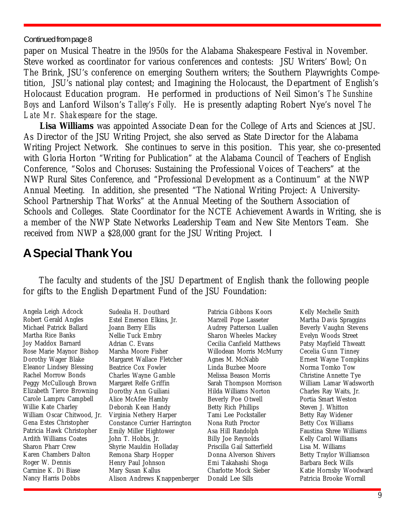#### <span id="page-8-0"></span>Continued from page 8

paper on Musical Theatre in the l950s for the Alabama Shakespeare Festival in November. Steve worked as coordinator for various conferences and contests: JSU Writers' Bowl; On The Brink, JSU's conference on emerging Southern writers; the Southern Playwrights Competition, JSU's national play contest; and Imagining the Holocaust, the Department of English's Holocaust Education program. He performed in productions of Neil Simon's *The Sunshine Boys* and Lanford Wilson's *Talley's Folly*. He is presently adapting Robert Nye's novel *The Late Mr. Shakespeare* for the stage.

**Lisa Williams** was appointed Associate Dean for the College of Arts and Sciences at JSU. As Director of the JSU Writing Project, she also served as State Director for the Alabama Writing Project Network. She continues to serve in this position. This year, she co-presented with Gloria Horton "Writing for Publication" at the Alabama Council of Teachers of English Conference, "Solos and Choruses: Sustaining the Professional Voices of Teachers" at the NWP Rural Sites Conference, and "Professional Development as a Continuum" at the NWP Annual Meeting. In addition, she presented "The National Writing Project: A University-School Partnership That Works" at the Annual Meeting of the Southern Association of Schools and Colleges. State Coordinator for the NCTE Achievement Awards in Writing, she is a member of the NWP State Networks Leadership Team and New Site Mentors Team. She received from NWP a \$28,000 grant for the JSU Writing Project. l

# **ASpecial ThankYou**

The faculty and students of the JSU Department of English thank the following people for gifts to the English Department Fund of the JSU Foundation:

Angela Leigh Adcock Robert Gerald Angles Michael Patrick Ballard Martha Rice Banks Joy Maddox Barnard Rose Marie Maynor Bishop Dorothy Wager Blake Eleanor Lindsey Blessing Rachel Morrow Bonds Peggy McCullough Brown Elizabeth Tierce Browning Carole Lampru Campbell Willie Kate Charley William Oscar Chitwood, Jr. Gena Estes Christopher Patricia Hawk Christopher Ardith Williams Coates Sharon Pharr Crew Karen Chambers Dalton Roger W. Dennis Carmine K. Di Biase Nancy Harris Dobbs

Sudealia H. Douthard Estel Emerson Elkins, Jr. Joann Berry Ellis Nellie Tuck Embry Adrian C. Evans Marsha Moore Fisher Margaret Wallace Fletcher Beatrice Cox Fowler Charles Wayne Gamble Margaret Relfe Griffin Dorothy Ann Guiliani Alice McAfee Hamby Deborah Kean Handy Virginia Nethery Harper Constance Currier Harrington Emily Miller Hightower John T. Hobbs, Jr. Shyrie Mauldin Holladay Remona Sharp Hopper Henry Paul Johnson Mary Susan Kallus Alison Andrews Knappenberger

Patricia Gibbons Koors Marzell Pope Lasseter Audrey Patterson Luallen Sharon Wheeles Mackey Cecilia Canfield Matthews Willodean Morris McMurry Agnes M. McNabb Linda Buzbee Moore Melissa Beason Morris Sarah Thompson Morrison Hilda Williams Norton Beverly Poe Otwell Betty Rich Phillips Tami Lee Pockstaller Nona Ruth Proctor Asa Hill Randolph Billy Joe Reynolds Priscilla Gail Satterfield Donna Alverson Shivers Emi Takahashi Shoga Charlotte Mock Sieber Donald Lee Sills

Kelly Mechelle Smith Martha Davis Spraggins Beverly Vaughn Stevens Evelyn Woods Street Patsy Mayfield Thweatt Cecelia Gunn Tinney Ernest Wayne Tompkins Norma Tomko Tow Christine Annette Tye William Lamar Wadsworth Charles Ray Waits, Jr. Portia Smart Weston Steven J. Whitton Betty Ray Widener Betty Cox Williams Faustina Shree Williams Kelly Carol Williams Lisa M. Williams Betty Traylor Williamson Barbara Beck Wills Katie Hornsby Woodward Patricia Brooke Worrall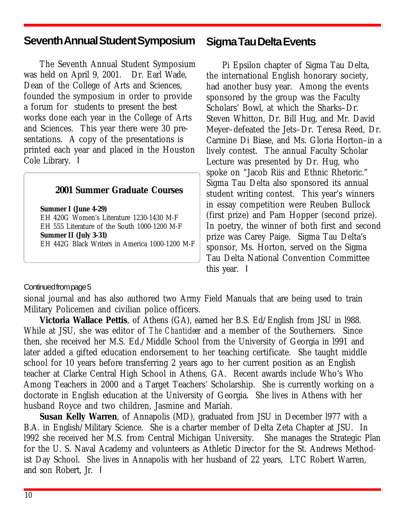# <span id="page-9-0"></span>**Seventh AnnualStudent Symposium**

The Seventh Annual Student Symposium was held on April 9, 2001. Dr. Earl Wade, Dean of the College of Arts and Sciences, founded the symposium in order to provide a forum for students to present the best works done each year in the College of Arts and Sciences. This year there were 30 presentations. A copy of the presentations is printed each year and placed in the Houston Cole Library.  $\blacksquare$ 

#### **2001 Summer Graduate Courses**

**Summer I (June 4-29)** EH 420G Women's Literature 1230-1430 M-F EH 555 Literature of the South 1000-1200 M-F **Summer II (July 3-31)** EH 442G Black Writers in America 1000-1200 M-F

### **Sigma Tau Delta Events**

Pi Epsilon chapter of Sigma Tau Delta, the international English honorary society, had another busy year. Among the events sponsored by the group was the Faculty Scholars' Bowl, at which the Sharks–Dr. Steven Whitton, Dr. Bill Hug, and Mr. David Meyer–defeated the Jets–Dr. Teresa Reed, Dr. Carmine Di Biase, and Ms. Gloria Horton–in a lively contest. The annual Faculty Scholar Lecture was presented by Dr. Hug, who spoke on "Jacob Riis and Ethnic Rhetoric." Sigma Tau Delta also sponsored its annual student writing contest. This year's winners in essay competition were Reuben Bullock (first prize) and Pam Hopper (second prize). In poetry, the winner of both first and second prize was Carey Paige. Sigma Tau Delta's sponsor, Ms. Horton, served on the Sigma Tau Delta National Convention Committee this year.  $\blacksquare$ 

#### Continued from page 5

sional journal and has also authored two Army Field Manuals that are being used to train Military Policemen and civilian police officers.

**Victoria Wallace Pettis**, of Athens (GA), earned her B.S. Ed/English from JSU in l988. While at JSU, she was editor of *The Chanticleer* and a member of the Southerners. Since then, she received her M.S. Ed./Middle School from the University of Georgia in l991 and later added a gifted education endorsement to her teaching certificate. She taught middle school for 10 years before transferring 2 years ago to her current position as an English teacher at Clarke Central High School in Athens, GA. Recent awards include Who's Who Among Teachers in 2000 and a Target Teachers' Scholarship. She is currently working on a doctorate in English education at the University of Georgia. She lives in Athens with her husband Royce and two children, Jasmine and Mariah.

**Susan Kelly Warren**, of Annapolis (MD), graduated from JSU in December l977 with a B.A. in English/Military Science. She is a charter member of Delta Zeta Chapter at JSU. In l992 she received her M.S. from Central Michigan University. She manages the Strategic Plan for the U. S. Naval Academy and volunteers as Athletic Director for the St. Andrews Methodist Day School. She lives in Annapolis with her husband of 22 years, LTC Robert Warren, and son Robert. Jr.  $\blacksquare$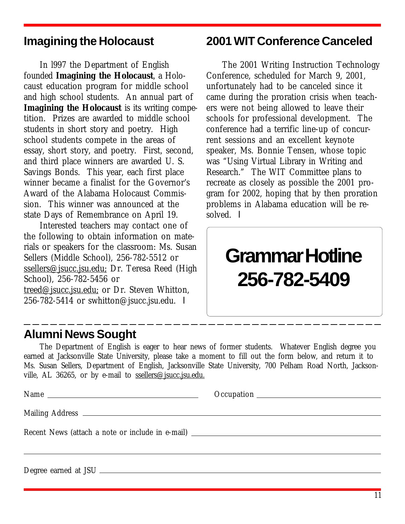# <span id="page-10-0"></span>**Imagining the Holocaust**

In l997 the Department of English founded **Imagining the Holocaust**, a Holocaust education program for middle school and high school students. An annual part of **Imagining the Holocaust** is its writing competition. Prizes are awarded to middle school students in short story and poetry. High school students compete in the areas of essay, short story, and poetry. First, second, and third place winners are awarded U. S. Savings Bonds. This year, each first place winner became a finalist for the Governor's Award of the Alabama Holocaust Commission. This winner was announced at the state Days of Remembrance on April 19.

Interested teachers may contact one of the following to obtain information on materials or speakers for the classroom: Ms. Susan Sellers (Middle School), 256-782-5512 or ssellers@jsucc.jsu.edu; Dr. Teresa Reed (High School), 256-782-5456 or treed@jsucc.jsu.edu; or Dr. Steven Whitton, 256-782-5414 or swhitton@jsucc.jsu.edu.  $\blacksquare$ 

# **2001 WIT Conference Canceled**

The 2001 Writing Instruction Technology Conference, scheduled for March 9, 2001, unfortunately had to be canceled since it came during the proration crisis when teachers were not being allowed to leave their schools for professional development. The conference had a terrific line-up of concurrent sessions and an excellent keynote speaker, Ms. Bonnie Tensen, whose topic was "Using Virtual Library in Writing and Research." The WIT Committee plans to recreate as closely as possible the 2001 program for 2002, hoping that by then proration problems in Alabama education will be resolved.  $\blacksquare$ 

# **Grammar Hotline 256-782-5409**

# **Alumni News Sought**

The Department of English is eager to hear news of former students. Whatever English degree you earned at Jacksonville State University, please take a moment to fill out the form below, and return it to Ms. Susan Sellers, Department of English, Jacksonville State University, 700 Pelham Road North, Jacksonville, AL 36265, or by e-mail to ssellers@jsucc.jsu.edu.

Name **Occupation** 

Mailing Address

Recent News (attach a note or include in e-mail)

Degree earned at JSU